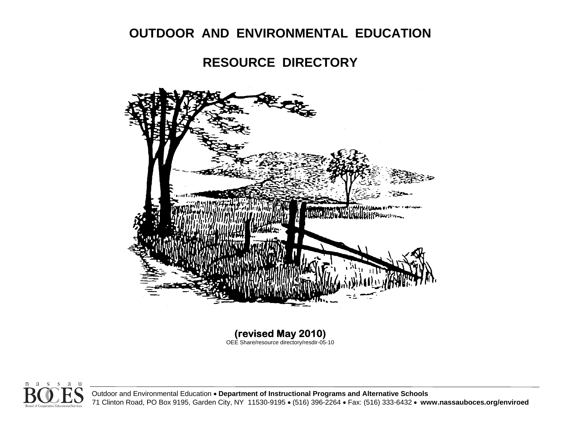# **OUTDOOR AND ENVIRONMENTAL EDUCATION**

# **RESOURCE DIRECTORY**



**(revised May 2010)**  OEE Share/resource directory/resdir-05-10



Outdoor and Environmental Education • **Department of Instructional Programs and Alternative Schools** 71 Clinton Road, PO Box 9195, Garden City, NY 11530-9195 • (516) 396-2264 • Fax: (516) 333-6432 • **www. nassauboces.org/enviroed**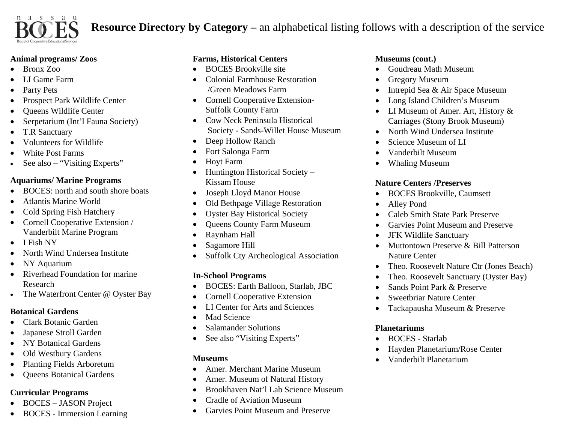

# **Resource Directory by Category –** an alphabetical listing follows with a description of the service

#### **Animal programs/ Zoos**

- •Bronx Zoo
- •LI Game Farm
- •Party Pets
- •Prospect Park Wildlife Center
- •Queens Wildlife Center
- •Serpetarium (Int'l Fauna Society)
- •T.R Sanctuary
- •Volunteers for Wildlife
- •• White Post Farms
- •See also – "Visiting Experts"

### **Aquariums/ Marine Programs**

- •BOCES: north and south shore boats
- •• Atlantis Marine World
- •Cold Spring Fish Hatchery
- Cornell Cooperative Extension / Vanderbilt Marine Program
- •I Fish NY
- •North Wind Undersea Institute
- •NY Aquarium
- •• Riverhead Foundation for marine Research
- •• The Waterfront Center @ Oyster Bay

### **Botanical Gardens**

- •Clark Botanic Garden
- •Japanese Stroll Garden
- •NY Botanical Gardens
- •• Old Westbury Gardens
- $\bullet$ Planting Fields Arboretum
- $\bullet$ Queens Botanical Gardens

### **Curricular Programs**

- BOCES JASON Project
- BOCES Immersion Learning

## **Farms, Historical Centers**

- •BOCES Brookville site
- • Colonial Farmhouse Restoration /Green Meadows Farm
- Cornell Cooperative Extension-Suffolk County Farm
- Cow Neck Peninsula Historical Society - Sands-Willet House Museum
- $\bullet$ Deep Hollow Ranch
- •Fort Salonga Farm
- •Hoyt Farm
- • Huntington Historical Society – Kissam House
- •Joseph Lloyd Manor House
- •Old Bethpage Village Restoration
- •Oyster Bay Historical Society
- •Queens County Farm Museum
- •Raynham Hall
- •• Sagamore Hill
- •Suffolk Cty Archeological Association

### **In-School Programs**

- •BOCES: Earth Balloon, Starlab, JBC
- •Cornell Cooperative Extension
- •LI Center for Arts and Sciences
- •Mad Science
- •• Salamander Solutions
- $\bullet$ See also "Visiting Experts"

### **Museums**

- •Amer. Merchant Marine Museum
- •Amer. Museum of Natural History
- •Brookhaven Nat'l Lab Science Museum
- •Cradle of Aviation Museum
- •Garvies Point Museum and Preserve

### **Museums (cont.)**

- Goudreau Math Museum
- •Gregory Museum
- •Intrepid Sea & Air Space Museum
- •Long Island Children's Museum
- LI Museum of Amer. Art, History & Carriages (Stony Brook Museum)
- •North Wind Undersea Institute
- •Science Museum of LI
- •Vanderbilt Museum
- •• Whaling Museum

### **Nature Centers /Preserves**

- BOCES Brookville, Caumsett
- •Alley Pond
- •Caleb Smith State Park Preserve
- •Garvies Point Museum and Preserve
- •JFK Wildlife Sanctuary
- • Muttontown Preserve & Bill Patterson Nature Center
- •Theo. Roosevelt Nature Ctr (Jones Beach)
- •Theo. Roosevelt Sanctuary (Oyster Bay)
- •Sands Point Park & Preserve
- •Sweetbriar Nature Center
- •Tackapausha Museum & Preserve

### **Planetariums**

- BOCES Starlab
- •Hayden Planetarium/Rose Center
- •Vanderbilt Planetarium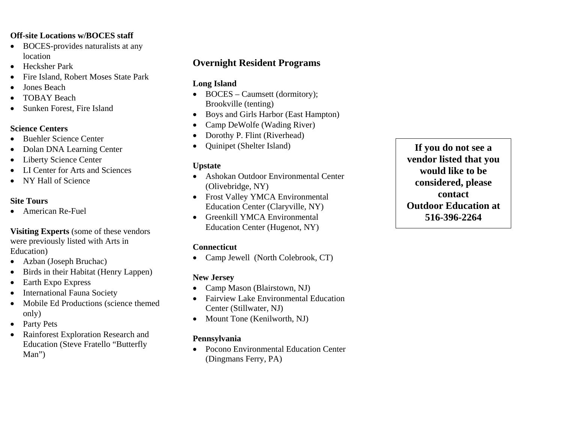#### **Off-site Locations w/BOCES staff**

- BOCES-provides naturalists at any location
- Hecksher Park
- •Fire Island, Robert Moses State Park
- •Jones Beach
- •TOBAY Beach
- •Sunken Forest, Fire Island

#### **Science Centers**

- •Buehler Science Center
- $\bullet$ Dolan DNA Learning Center
- $\bullet$ Liberty Science Center
- LI Center for Arts and Sciences
- •NY Hall of Science

#### **Site Tours**

• American Re-Fuel

**Visiting Experts** (some of these vendors were previously listed with Arts in Education)

- •Azban (Joseph Bruchac)
- $\bullet$ Birds in their Habitat (Henry Lappen)
- $\bullet$ Earth Expo Express
- •International Fauna Society
- $\bullet$  Mobile Ed Productions (science themed only)
- Party Pets
- $\bullet$  Rainforest Exploration Research and Education (Steve Fratello "Butterfly Man")

## **Overnight Resident Programs**

### **Long Island**

- BOCES Caumsett (dormitory); Brookville (tenting)
- •• Boys and Girls Harbor (East Hampton)
- •• Camp DeWolfe (Wading River)
- $\bullet$ Dorothy P. Flint (Riverhead)
- •Quinipet (Shelter Island)

### **Upstate**

- Ashokan Outdoor Environmental Center (Olivebridge, NY)
- Frost Valley YMCA Environmental Education Center (Claryville, NY)
- Greenkill YMCA Environmental Education Center (Hugenot, NY)

### **Connecticut**

 $\bullet$ • Camp Jewell (North Colebrook, CT)

### **New Jersey**

- •• Camp Mason (Blairstown, NJ)
- • Fairview Lake Environmental Education Center (Stillwater, NJ)
- Mount Tone (Kenilworth, NJ)

### **Pennsylvania**

• Pocono Environmental Education Center (Dingmans Ferry, PA)

**If you do not see a vendor listed that you would like to be considered, please contact Outdoor Education at 516-396-2264**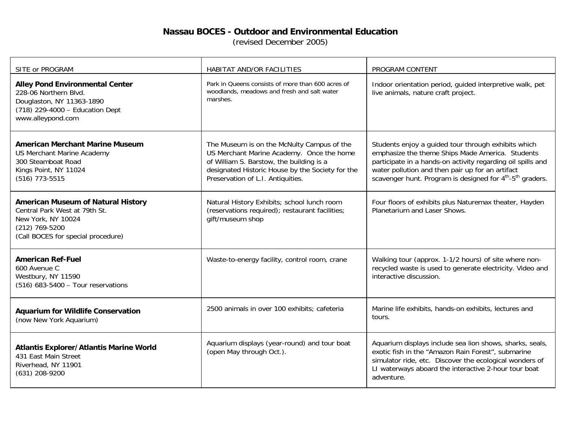#### **Nassau BOCES - Outdoor and Environmental Education**

(revised December 2005)

| SITE or PROGRAM                                                                                                                                          | HABITAT AND/OR FACILITIES                                                                                                                                                                                                    | PROGRAM CONTENT                                                                                                                                                                                                                                                                                                 |
|----------------------------------------------------------------------------------------------------------------------------------------------------------|------------------------------------------------------------------------------------------------------------------------------------------------------------------------------------------------------------------------------|-----------------------------------------------------------------------------------------------------------------------------------------------------------------------------------------------------------------------------------------------------------------------------------------------------------------|
| <b>Alley Pond Environmental Center</b><br>228-06 Northern Blvd.<br>Douglaston, NY 11363-1890<br>(718) 229-4000 - Education Dept<br>www.alleypond.com     | Park in Queens consists of more than 600 acres of<br>woodlands, meadows and fresh and salt water<br>marshes.                                                                                                                 | Indoor orientation period, guided interpretive walk, pet<br>live animals, nature craft project.                                                                                                                                                                                                                 |
| <b>American Merchant Marine Museum</b><br><b>US Merchant Marine Academy</b><br>300 Steamboat Road<br>Kings Point, NY 11024<br>$(516)$ 773-5515           | The Museum is on the McNulty Campus of the<br>US Merchant Marine Academy. Once the home<br>of William S. Barstow, the building is a<br>designated Historic House by the Society for the<br>Preservation of L.I. Antiquities. | Students enjoy a guided tour through exhibits which<br>emphasize the theme Ships Made America. Students<br>participate in a hands-on activity regarding oil spills and<br>water pollution and then pair up for an artifact<br>scavenger hunt. Program is designed for 4 <sup>th</sup> -5 <sup>th</sup> graders. |
| <b>American Museum of Natural History</b><br>Central Park West at 79th St.<br>New York, NY 10024<br>(212) 769-5200<br>(Call BOCES for special procedure) | Natural History Exhibits; school lunch room<br>(reservations required); restaurant facilities;<br>gift/museum shop                                                                                                           | Four floors of exhibits plus Naturemax theater, Hayden<br>Planetarium and Laser Shows.                                                                                                                                                                                                                          |
| <b>American Ref-Fuel</b><br>600 Avenue C<br>Westbury, NY 11590<br>(516) 683-5400 - Tour reservations                                                     | Waste-to-energy facility, control room, crane                                                                                                                                                                                | Walking tour (approx. 1-1/2 hours) of site where non-<br>recycled waste is used to generate electricity. Video and<br>interactive discussion.                                                                                                                                                                   |
| <b>Aquarium for Wildlife Conservation</b><br>(now New York Aquarium)                                                                                     | 2500 animals in over 100 exhibits; cafeteria                                                                                                                                                                                 | Marine life exhibits, hands-on exhibits, lectures and<br>tours.                                                                                                                                                                                                                                                 |
| <b>Atlantis Explorer/Atlantis Marine World</b><br>431 East Main Street<br>Riverhead, NY 11901<br>(631) 208-9200                                          | Aquarium displays (year-round) and tour boat<br>(open May through Oct.).                                                                                                                                                     | Aquarium displays include sea lion shows, sharks, seals,<br>exotic fish in the "Amazon Rain Forest", submarine<br>simulator ride, etc. Discover the ecological wonders of<br>LI waterways aboard the interactive 2-hour tour boat<br>adventure.                                                                 |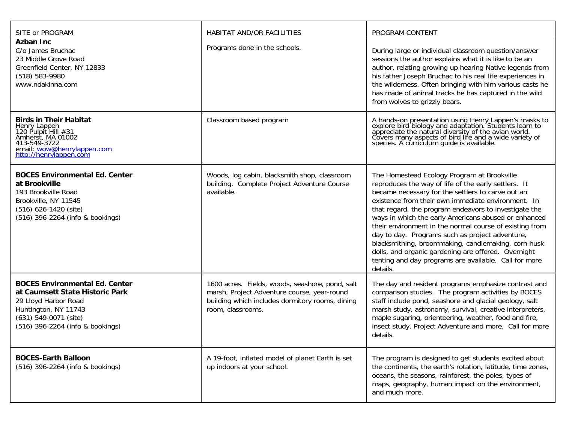| SITE or PROGRAM                                                                                                                                                                       | HABITAT AND/OR FACILITIES                                                                                                                                              | PROGRAM CONTENT                                                                                                                                                                                                                                                                                                                                                                                                                                                                                                                                                                                                                  |
|---------------------------------------------------------------------------------------------------------------------------------------------------------------------------------------|------------------------------------------------------------------------------------------------------------------------------------------------------------------------|----------------------------------------------------------------------------------------------------------------------------------------------------------------------------------------------------------------------------------------------------------------------------------------------------------------------------------------------------------------------------------------------------------------------------------------------------------------------------------------------------------------------------------------------------------------------------------------------------------------------------------|
| <b>Azban Inc</b><br>C/o James Bruchac<br>23 Middle Grove Road<br>Greenfield Center, NY 12833<br>(518) 583-9980<br>www.ndakinna.com                                                    | Programs done in the schools.                                                                                                                                          | During large or individual classroom question/answer<br>sessions the author explains what it is like to be an<br>author, relating growing up hearing Native legends from<br>his father Joseph Bruchac to his real life experiences in<br>the wilderness. Often bringing with him various casts he<br>has made of animal tracks he has captured in the wild<br>from wolves to grizzly bears.                                                                                                                                                                                                                                      |
| <b>Birds in Their Habitat</b><br>Henry Lappen<br>120 Pulpit Hill #31<br>Amherst, MA 01002<br>413-549-3722<br>email: wow@henrylappen.com<br>http://henrylappeň.còm                     | Classroom based program                                                                                                                                                | A hands-on presentation using Henry Lappen's masks to<br>explore bird biology and adaptation. Students learn to<br>appreciate the natural diversity of the avian world.<br>Covers many aspects of bird life and a wide variety of<br>speci                                                                                                                                                                                                                                                                                                                                                                                       |
| <b>BOCES Environmental Ed. Center</b><br>at Brookville<br>193 Brookville Road<br>Brookville, NY 11545<br>$(516)$ 626-1420 (site)<br>(516) 396-2264 (info & bookings)                  | Woods, log cabin, blacksmith shop, classroom<br>building. Complete Project Adventure Course<br>available.                                                              | The Homestead Ecology Program at Brookville<br>reproduces the way of life of the early settlers. It<br>became necessary for the settlers to carve out an<br>existence from their own immediate environment. In<br>that regard, the program endeavors to investigate the<br>ways in which the early Americans abused or enhanced<br>their environment in the normal course of existing from<br>day to day. Programs such as project adventure,<br>blacksmithing, broommaking, candlemaking, corn husk<br>dolls, and organic gardening are offered. Overnight<br>tenting and day programs are available. Call for more<br>details. |
| <b>BOCES Environmental Ed. Center</b><br>at Caumsett State Historic Park<br>29 Lloyd Harbor Road<br>Huntington, NY 11743<br>(631) 549-0071 (site)<br>(516) 396-2264 (info & bookings) | 1600 acres. Fields, woods, seashore, pond, salt<br>marsh, Project Adventure course, year-round<br>building which includes dormitory rooms, dining<br>room, classrooms. | The day and resident programs emphasize contrast and<br>comparison studies. The program activities by BOCES<br>staff include pond, seashore and glacial geology, salt<br>marsh study, astronomy, survival, creative interpreters,<br>maple sugaring, orienteering, weather, food and fire,<br>insect study, Project Adventure and more. Call for more<br>details.                                                                                                                                                                                                                                                                |
| <b>BOCES-Earth Balloon</b><br>(516) 396-2264 (info & bookings)                                                                                                                        | A 19-foot, inflated model of planet Earth is set<br>up indoors at your school.                                                                                         | The program is designed to get students excited about<br>the continents, the earth's rotation, latitude, time zones,<br>oceans, the seasons, rainforest, the poles, types of<br>maps, geography, human impact on the environment,<br>and much more.                                                                                                                                                                                                                                                                                                                                                                              |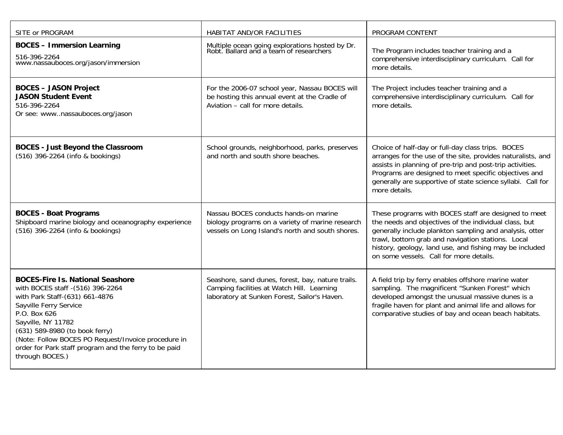| SITE or PROGRAM                                                                                                                                                                                                                                                                                                                                     | HABITAT AND/OR FACILITIES                                                                                                                       | PROGRAM CONTENT                                                                                                                                                                                                                                                                                                                     |
|-----------------------------------------------------------------------------------------------------------------------------------------------------------------------------------------------------------------------------------------------------------------------------------------------------------------------------------------------------|-------------------------------------------------------------------------------------------------------------------------------------------------|-------------------------------------------------------------------------------------------------------------------------------------------------------------------------------------------------------------------------------------------------------------------------------------------------------------------------------------|
| <b>BOCES - Immersion Learning</b><br>516-396-2264<br>www.nassauboces.org/jason/immersion                                                                                                                                                                                                                                                            | Multiple ocean going explorations hosted by Dr.<br>Robt. Ballard and a team of researchers                                                      | The Program includes teacher training and a<br>comprehensive interdisciplinary curriculum. Call for<br>more details.                                                                                                                                                                                                                |
| <b>BOCES - JASON Project</b><br><b>JASON Student Event</b><br>516-396-2264<br>Or see: wwwnassauboces.org/jason                                                                                                                                                                                                                                      | For the 2006-07 school year, Nassau BOCES will<br>be hosting this annual event at the Cradle of<br>Aviation - call for more details.            | The Project includes teacher training and a<br>comprehensive interdisciplinary curriculum. Call for<br>more details.                                                                                                                                                                                                                |
| <b>BOCES - Just Beyond the Classroom</b><br>(516) 396-2264 (info & bookings)                                                                                                                                                                                                                                                                        | School grounds, neighborhood, parks, preserves<br>and north and south shore beaches.                                                            | Choice of half-day or full-day class trips. BOCES<br>arranges for the use of the site, provides naturalists, and<br>assists in planning of pre-trip and post-trip activities.<br>Programs are designed to meet specific objectives and<br>generally are supportive of state science syllabi. Call for<br>more details.              |
| <b>BOCES - Boat Programs</b><br>Shipboard marine biology and oceanography experience<br>(516) 396-2264 (info & bookings)                                                                                                                                                                                                                            | Nassau BOCES conducts hands-on marine<br>biology programs on a variety of marine research<br>vessels on Long Island's north and south shores.   | These programs with BOCES staff are designed to meet<br>the needs and objectives of the individual class, but<br>generally include plankton sampling and analysis, otter<br>trawl, bottom grab and navigation stations. Local<br>history, geology, land use, and fishing may be included<br>on some vessels. Call for more details. |
| <b>BOCES-Fire Is. National Seashore</b><br>with BOCES staff - (516) 396-2264<br>with Park Staff-(631) 661-4876<br>Sayville Ferry Service<br>P.O. Box 626<br>Sayville, NY 11782<br>(631) 589-8980 (to book ferry)<br>(Note: Follow BOCES PO Request/Invoice procedure in<br>order for Park staff program and the ferry to be paid<br>through BOCES.) | Seashore, sand dunes, forest, bay, nature trails.<br>Camping facilities at Watch Hill. Learning<br>laboratory at Sunken Forest, Sailor's Haven. | A field trip by ferry enables offshore marine water<br>sampling. The magnificent "Sunken Forest" which<br>developed amongst the unusual massive dunes is a<br>fragile haven for plant and animal life and allows for<br>comparative studies of bay and ocean beach habitats.                                                        |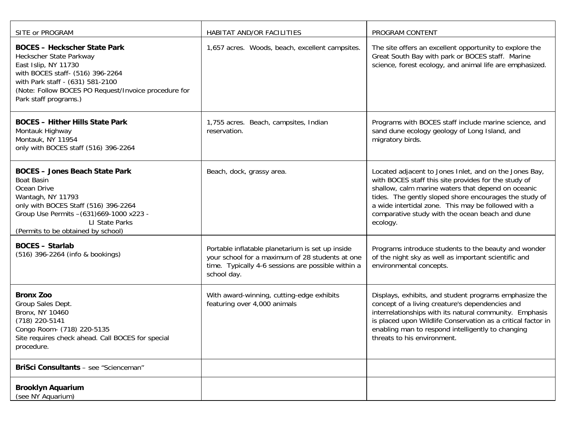| SITE or PROGRAM                                                                                                                                                                                                                                    | HABITAT AND/OR FACILITIES                                                                                                                                                | PROGRAM CONTENT                                                                                                                                                                                                                                                                                                                                      |
|----------------------------------------------------------------------------------------------------------------------------------------------------------------------------------------------------------------------------------------------------|--------------------------------------------------------------------------------------------------------------------------------------------------------------------------|------------------------------------------------------------------------------------------------------------------------------------------------------------------------------------------------------------------------------------------------------------------------------------------------------------------------------------------------------|
| <b>BOCES - Heckscher State Park</b><br>Heckscher State Parkway<br>East Islip, NY 11730<br>with BOCES staff- (516) 396-2264<br>with Park staff - (631) 581-2100<br>(Note: Follow BOCES PO Request/Invoice procedure for<br>Park staff programs.)    | 1,657 acres. Woods, beach, excellent campsites.                                                                                                                          | The site offers an excellent opportunity to explore the<br>Great South Bay with park or BOCES staff. Marine<br>science, forest ecology, and animal life are emphasized.                                                                                                                                                                              |
| <b>BOCES - Hither Hills State Park</b><br>Montauk Highway<br>Montauk, NY 11954<br>only with BOCES staff (516) 396-2264                                                                                                                             | 1,755 acres. Beach, campsites, Indian<br>reservation.                                                                                                                    | Programs with BOCES staff include marine science, and<br>sand dune ecology geology of Long Island, and<br>migratory birds.                                                                                                                                                                                                                           |
| <b>BOCES - Jones Beach State Park</b><br><b>Boat Basin</b><br>Ocean Drive<br>Wantagh, NY 11793<br>only with BOCES Staff (516) 396-2264<br>Group Use Permits - (631) 669-1000 x223 -<br><b>LI State Parks</b><br>(Permits to be obtained by school) | Beach, dock, grassy area.                                                                                                                                                | Located adjacent to Jones Inlet, and on the Jones Bay,<br>with BOCES staff this site provides for the study of<br>shallow, calm marine waters that depend on oceanic<br>tides. The gently sloped shore encourages the study of<br>a wide intertidal zone. This may be followed with a<br>comparative study with the ocean beach and dune<br>ecology. |
| <b>BOCES - Starlab</b><br>(516) 396-2264 (info & bookings)                                                                                                                                                                                         | Portable inflatable planetarium is set up inside<br>your school for a maximum of 28 students at one<br>time. Typically 4-6 sessions are possible within a<br>school day. | Programs introduce students to the beauty and wonder<br>of the night sky as well as important scientific and<br>environmental concepts.                                                                                                                                                                                                              |
| <b>Bronx Zoo</b><br>Group Sales Dept.<br>Bronx, NY 10460<br>(718) 220-5141<br>Congo Room- (718) 220-5135<br>Site requires check ahead. Call BOCES for special<br>procedure.                                                                        | With award-winning, cutting-edge exhibits<br>featuring over 4,000 animals                                                                                                | Displays, exhibits, and student programs emphasize the<br>concept of a living creature's dependencies and<br>interrelationships with its natural community. Emphasis<br>is placed upon Wildlife Conservation as a critical factor in<br>enabling man to respond intelligently to changing<br>threats to his environment.                             |
| BriSci Consultants - see "Scienceman"                                                                                                                                                                                                              |                                                                                                                                                                          |                                                                                                                                                                                                                                                                                                                                                      |
| <b>Brooklyn Aquarium</b><br>(see NY Aquarium)                                                                                                                                                                                                      |                                                                                                                                                                          |                                                                                                                                                                                                                                                                                                                                                      |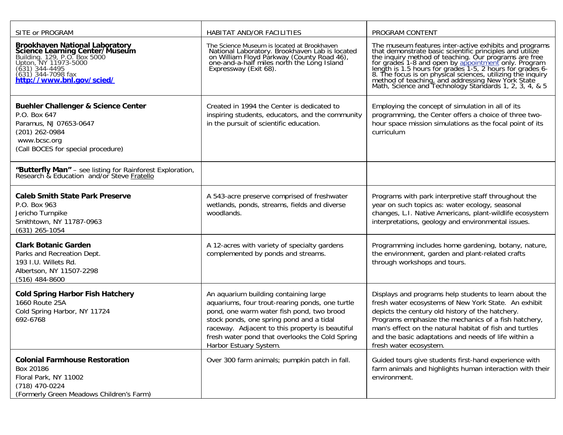| SITE or PROGRAM                                                                                                                                                                                                             | HABITAT AND/OR FACILITIES                                                                                                                                                                                                                                                                                         | PROGRAM CONTENT                                                                                                                                                                                                                                                                                                                                                         |
|-----------------------------------------------------------------------------------------------------------------------------------------------------------------------------------------------------------------------------|-------------------------------------------------------------------------------------------------------------------------------------------------------------------------------------------------------------------------------------------------------------------------------------------------------------------|-------------------------------------------------------------------------------------------------------------------------------------------------------------------------------------------------------------------------------------------------------------------------------------------------------------------------------------------------------------------------|
| <b>Brookhaven National Laboratory<br/>Science Learning Center/Museum</b><br>Building. 129, P.O. Box 5000<br>Upton, NY 11973-5000<br>(631) 344-4495<br>(631) 344-7098 fax<br>(631) 344-7098 fax<br>http://www.bnl.gov/scied/ | The Science Museum is located at Brookhaven<br>National Laboratory. Brookhaven Lab is located<br>on William Floyd Parkway (County Road 46),<br>one-and-a-half miles north the Long Island<br>Expressway (Exit 68).                                                                                                | The museum features inter-active exhibits and programs<br>that demonstrate basic scientific principles and utilize<br>the inquiry method of teaching. Our programs are free<br>for grades 1-8 and open by appointment only. Program<br>le<br>Math, Science and Technology Standards 1, 2, 3, 4, & 5                                                                     |
| <b>Buehler Challenger &amp; Science Center</b><br>P.O. Box 647<br>Paramus, NJ 07653-0647<br>(201) 262-0984<br>www.bcsc.org<br>(Call BOCES for special procedure)                                                            | Created in 1994 the Center is dedicated to<br>inspiring students, educators, and the community<br>in the pursuit of scientific education.                                                                                                                                                                         | Employing the concept of simulation in all of its<br>programming, the Center offers a choice of three two-<br>hour space mission simulations as the focal point of its<br>curriculum                                                                                                                                                                                    |
| "Butterfly Man" - see listing for Rainforest Exploration, Research & Education and/or Steve Fratello                                                                                                                        |                                                                                                                                                                                                                                                                                                                   |                                                                                                                                                                                                                                                                                                                                                                         |
| <b>Caleb Smith State Park Preserve</b><br>P.O. Box 963<br>Jericho Turnpike<br>Smithtown, NY 11787-0963<br>$(631)$ 265-1054                                                                                                  | A 543-acre preserve comprised of freshwater<br>wetlands, ponds, streams, fields and diverse<br>woodlands.                                                                                                                                                                                                         | Programs with park interpretive staff throughout the<br>year on such topics as: water ecology, seasonal<br>changes, L.I. Native Americans, plant-wildlife ecosystem<br>interpretations, geology and environmental issues.                                                                                                                                               |
| <b>Clark Botanic Garden</b><br>Parks and Recreation Dept.<br>193 I.U. Willets Rd.<br>Albertson, NY 11507-2298<br>$(516)$ 484-8600                                                                                           | A 12-acres with variety of specialty gardens<br>complemented by ponds and streams.                                                                                                                                                                                                                                | Programming includes home gardening, botany, nature,<br>the environment, garden and plant-related crafts<br>through workshops and tours.                                                                                                                                                                                                                                |
| <b>Cold Spring Harbor Fish Hatchery</b><br>1660 Route 25A<br>Cold Spring Harbor, NY 11724<br>692-6768                                                                                                                       | An aquarium building containing large<br>aquariums, four trout-rearing ponds, one turtle<br>pond, one warm water fish pond, two brood<br>stock ponds, one spring pond and a tidal<br>raceway. Adjacent to this property is beautiful<br>fresh water pond that overlooks the Cold Spring<br>Harbor Estuary System. | Displays and programs help students to learn about the<br>fresh water ecosystems of New York State. An exhibit<br>depicts the century old history of the hatchery.<br>Programs emphasize the mechanics of a fish hatchery,<br>man's effect on the natural habitat of fish and turtles<br>and the basic adaptations and needs of life within a<br>fresh water ecosystem. |
| <b>Colonial Farmhouse Restoration</b><br>Box 20186<br>Floral Park, NY 11002<br>(718) 470-0224<br>(Formerly Green Meadows Children's Farm)                                                                                   | Over 300 farm animals; pumpkin patch in fall.                                                                                                                                                                                                                                                                     | Guided tours give students first-hand experience with<br>farm animals and highlights human interaction with their<br>environment.                                                                                                                                                                                                                                       |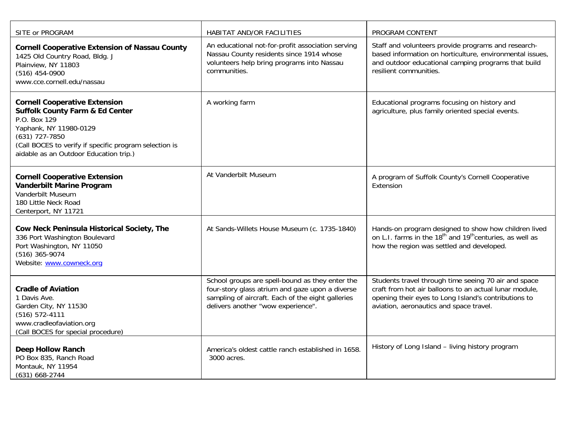| SITE or PROGRAM                                                                                                                                                                                                                                      | HABITAT AND/OR FACILITIES                                                                                                                                                                     | PROGRAM CONTENT                                                                                                                                                                                                   |
|------------------------------------------------------------------------------------------------------------------------------------------------------------------------------------------------------------------------------------------------------|-----------------------------------------------------------------------------------------------------------------------------------------------------------------------------------------------|-------------------------------------------------------------------------------------------------------------------------------------------------------------------------------------------------------------------|
| <b>Cornell Cooperative Extension of Nassau County</b><br>1425 Old Country Road, Bldg. J<br>Plainview, NY 11803<br>$(516)$ 454-0900<br>www.cce.cornell.edu/nassau                                                                                     | An educational not-for-profit association serving<br>Nassau County residents since 1914 whose<br>volunteers help bring programs into Nassau<br>communities.                                   | Staff and volunteers provide programs and research-<br>based information on horticulture, environmental issues,<br>and outdoor educational camping programs that build<br>resilient communities.                  |
| <b>Cornell Cooperative Extension</b><br><b>Suffolk County Farm &amp; Ed Center</b><br>P.O. Box 129<br>Yaphank, NY 11980-0129<br>$(631)$ 727-7850<br>(Call BOCES to verify if specific program selection is<br>aidable as an Outdoor Education trip.) | A working farm                                                                                                                                                                                | Educational programs focusing on history and<br>agriculture, plus family oriented special events.                                                                                                                 |
| <b>Cornell Cooperative Extension</b><br><b>Vanderbilt Marine Program</b><br>Vanderbilt Museum<br>180 Little Neck Road<br>Centerport, NY 11721                                                                                                        | At Vanderbilt Museum                                                                                                                                                                          | A program of Suffolk County's Cornell Cooperative<br>Extension                                                                                                                                                    |
| Cow Neck Peninsula Historical Society, The<br>336 Port Washington Boulevard<br>Port Washington, NY 11050<br>(516) 365-9074<br>Website: www.cowneck.org                                                                                               | At Sands-Willets House Museum (c. 1735-1840)                                                                                                                                                  | Hands-on program designed to show how children lived<br>on L.I. farms in the 18 <sup>th</sup> and 19 <sup>th</sup> centuries, as well as<br>how the region was settled and developed.                             |
| <b>Cradle of Aviation</b><br>1 Davis Ave.<br>Garden City, NY 11530<br>$(516) 572 - 4111$<br>www.cradleofaviation.org<br>(Call BOCES for special procedure)                                                                                           | School groups are spell-bound as they enter the<br>four-story glass atrium and gaze upon a diverse<br>sampling of aircraft. Each of the eight galleries<br>delivers another "wow experience". | Students travel through time seeing 70 air and space<br>craft from hot air balloons to an actual lunar module,<br>opening their eyes to Long Island's contributions to<br>aviation, aeronautics and space travel. |
| <b>Deep Hollow Ranch</b><br>PO Box 835, Ranch Road<br>Montauk, NY 11954<br>(631) 668-2744                                                                                                                                                            | America's oldest cattle ranch established in 1658.<br>3000 acres.                                                                                                                             | History of Long Island - living history program                                                                                                                                                                   |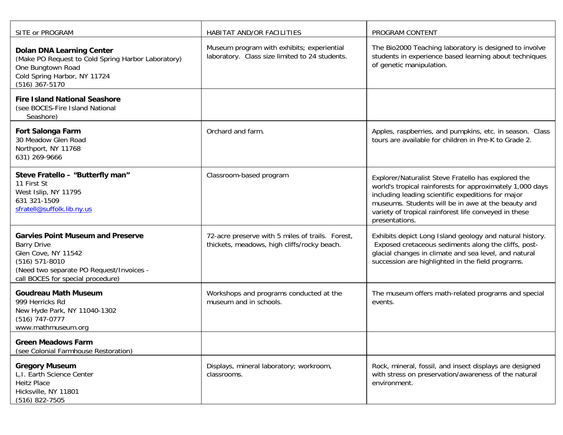| SITE or PROGRAM                                                                                                                                                                            | HABITAT AND/OR FACILITIES                                                                       | PROGRAM CONTENT                                                                                                                                                                                                                                                                                         |
|--------------------------------------------------------------------------------------------------------------------------------------------------------------------------------------------|-------------------------------------------------------------------------------------------------|---------------------------------------------------------------------------------------------------------------------------------------------------------------------------------------------------------------------------------------------------------------------------------------------------------|
| <b>Dolan DNA Learning Center</b><br>(Make PO Request to Cold Spring Harbor Laboratory)<br>One Bungtown Road<br>Cold Spring Harbor, NY 11724<br>(516) 367-5170                              | Museum program with exhibits; experiential<br>laboratory. Class size limited to 24 students.    | The Bio2000 Teaching laboratory is designed to involve<br>students in experience based learning about techniques<br>of genetic manipulation.                                                                                                                                                            |
| <b>Fire Island National Seashore</b><br>(see BOCES-Fire Island National<br>Seashore)                                                                                                       |                                                                                                 |                                                                                                                                                                                                                                                                                                         |
| <b>Fort Salonga Farm</b><br>30 Meadow Glen Road<br>Northport, NY 11768<br>631) 269-9666                                                                                                    | Orchard and farm.                                                                               | Apples, raspberries, and pumpkins, etc. in season. Class<br>tours are available for children in Pre-K to Grade 2.                                                                                                                                                                                       |
| Steve Fratello - "Butterfly man"<br>11 First St<br>West Islip, NY 11795<br>631 321-1509<br>sfratell@suffolk.lib.ny.us                                                                      | Classroom-based program                                                                         | Explorer/Naturalist Steve Fratello has explored the<br>world's tropical rainforests for approximately 1,000 days<br>including leading scientific expeditions for major<br>museums. Students will be in awe at the beauty and<br>variety of tropical rainforest life conveyed in these<br>presentations. |
| <b>Garvies Point Museum and Preserve</b><br><b>Barry Drive</b><br>Glen Cove, NY 11542<br>$(516) 571-8010$<br>(Need two separate PO Request/Invoices -<br>call BOCES for special procedure) | 72-acre preserve with 5 miles of trails. Forest,<br>thickets, meadows, high cliffs/rocky beach. | Exhibits depict Long Island geology and natural history.<br>Exposed cretaceous sediments along the cliffs, post-<br>glacial changes in climate and sea level, and natural<br>succession are highlighted in the field programs.                                                                          |
| <b>Goudreau Math Museum</b><br>999 Herricks Rd<br>New Hyde Park, NY 11040-1302<br>(516) 747-0777<br>www.mathmuseum.org                                                                     | Workshops and programs conducted at the<br>museum and in schools.                               | The museum offers math-related programs and special<br>events.                                                                                                                                                                                                                                          |
| <b>Green Meadows Farm</b><br>(see Colonial Farmhouse Restoration)                                                                                                                          |                                                                                                 |                                                                                                                                                                                                                                                                                                         |
| <b>Gregory Museum</b><br>L.I. Earth Science Center<br><b>Heitz Place</b><br>Hicksville, NY 11801<br>(516) 822-7505                                                                         | Displays, mineral laboratory; workroom,<br>classrooms.                                          | Rock, mineral, fossil, and insect displays are designed<br>with stress on preservation/awareness of the natural<br>environment.                                                                                                                                                                         |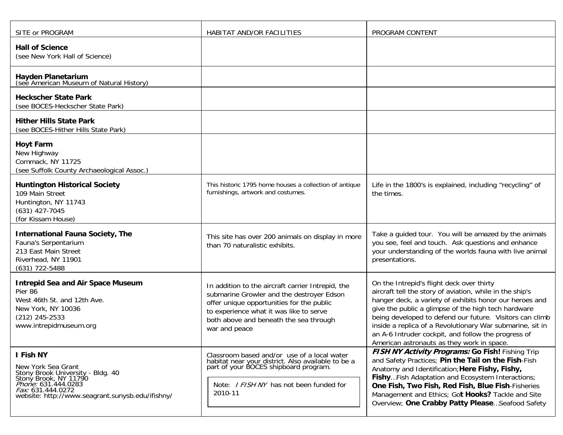| SITE or PROGRAM                                                                                                                                                                                             | HABITAT AND/OR FACILITIES                                                                                                                                                                                                                         | PROGRAM CONTENT                                                                                                                                                                                                                                                                                                                                                                                                                                       |
|-------------------------------------------------------------------------------------------------------------------------------------------------------------------------------------------------------------|---------------------------------------------------------------------------------------------------------------------------------------------------------------------------------------------------------------------------------------------------|-------------------------------------------------------------------------------------------------------------------------------------------------------------------------------------------------------------------------------------------------------------------------------------------------------------------------------------------------------------------------------------------------------------------------------------------------------|
| <b>Hall of Science</b><br>(see New York Hall of Science)                                                                                                                                                    |                                                                                                                                                                                                                                                   |                                                                                                                                                                                                                                                                                                                                                                                                                                                       |
| Hayden Planetarium<br>(see American Museum of Natural History)                                                                                                                                              |                                                                                                                                                                                                                                                   |                                                                                                                                                                                                                                                                                                                                                                                                                                                       |
| <b>Heckscher State Park</b><br>(see BOCES-Heckscher State Park)                                                                                                                                             |                                                                                                                                                                                                                                                   |                                                                                                                                                                                                                                                                                                                                                                                                                                                       |
| <b>Hither Hills State Park</b><br>(see BOCES-Hither Hills State Park)                                                                                                                                       |                                                                                                                                                                                                                                                   |                                                                                                                                                                                                                                                                                                                                                                                                                                                       |
| <b>Hoyt Farm</b><br>New Highway<br>Commack, NY 11725<br>(see Suffolk County Archaeological Assoc.)                                                                                                          |                                                                                                                                                                                                                                                   |                                                                                                                                                                                                                                                                                                                                                                                                                                                       |
| <b>Huntington Historical Society</b><br>109 Main Street<br>Huntington, NY 11743<br>$(631)$ 427-7045<br>(for Kissam House)                                                                                   | This historic 1795 home houses a collection of antique<br>furnishings, artwork and costumes.                                                                                                                                                      | Life in the 1800's is explained, including "recycling" of<br>the times.                                                                                                                                                                                                                                                                                                                                                                               |
| <b>International Fauna Society, The</b><br>Fauna's Serpentarium<br>213 East Main Street<br>Riverhead, NY 11901<br>(631) 722-5488                                                                            | This site has over 200 animals on display in more<br>than 70 naturalistic exhibits.                                                                                                                                                               | Take a guided tour. You will be amazed by the animals<br>you see, feel and touch. Ask questions and enhance<br>your understanding of the worlds fauna with live animal<br>presentations.                                                                                                                                                                                                                                                              |
| <b>Intrepid Sea and Air Space Museum</b><br>Pier 86<br>West 46th St. and 12th Ave.<br>New York, NY 10036<br>$(212)$ 245-2533<br>www.intrepidmuseum.org                                                      | In addition to the aircraft carrier Intrepid, the<br>submarine Growler and the destroyer Edson<br>offer unique opportunities for the public<br>to experience what it was like to serve<br>both above and beneath the sea through<br>war and peace | On the Intrepid's flight deck over thirty<br>aircraft tell the story of aviation, while in the ship's<br>hanger deck, a variety of exhibits honor our heroes and<br>give the public a glimpse of the high tech hardware<br>being developed to defend our future. Visitors can climb<br>inside a replica of a Revolutionary War submarine, sit in<br>an A-6 Intruder cockpit, and follow the progress of<br>American astronauts as they work in space. |
| I Fish NY<br>New York Sea Grant<br>Stony Brook University - Bldg. 40<br>Stony Brook, NY 11790<br><i>Phone:</i> 631.444.0283<br><i>Fax:</i> 631.444.0272<br>website: http://www.seagrant.sunysb.edu/ifishny/ | Classroom based and/or use of a local water<br>habitat near your district. Also available to be a<br>part of your BOCES shipboard program.<br>Note: <i>I FISH NY</i> has not been funded for<br>2010-11                                           | FISH NY Activity Programs: Go Fish! Fishing Trip<br>and Safety Practices; Pin the Tail on the Fish-Fish<br>Anatomy and Identification; Here Fishy, Fishy,<br>Fishy Fish Adaptation and Ecosystem Interactions;<br>One Fish, Two Fish, Red Fish, Blue Fish-Fisheries<br>Management and Ethics; Got Hooks? Tackle and Site<br>Overview; One Crabby Patty Please Seafood Safety                                                                          |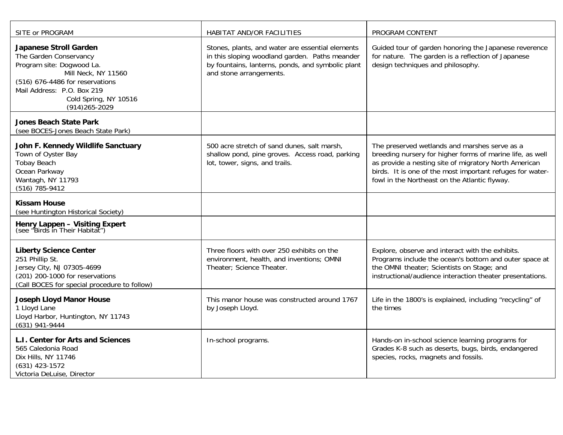| SITE or PROGRAM                                                                                                                                                                                                            | HABITAT AND/OR FACILITIES                                                                                                                                                          | PROGRAM CONTENT                                                                                                                                                                                                                                                                   |
|----------------------------------------------------------------------------------------------------------------------------------------------------------------------------------------------------------------------------|------------------------------------------------------------------------------------------------------------------------------------------------------------------------------------|-----------------------------------------------------------------------------------------------------------------------------------------------------------------------------------------------------------------------------------------------------------------------------------|
| <b>Japanese Stroll Garden</b><br>The Garden Conservancy<br>Program site: Dogwood La.<br>Mill Neck, NY 11560<br>(516) 676-4486 for reservations<br>Mail Address: P.O. Box 219<br>Cold Spring, NY 10516<br>$(914)265 - 2029$ | Stones, plants, and water are essential elements<br>in this sloping woodland garden. Paths meander<br>by fountains, lanterns, ponds, and symbolic plant<br>and stone arrangements. | Guided tour of garden honoring the Japanese reverence<br>for nature. The garden is a reflection of Japanese<br>design techniques and philosophy.                                                                                                                                  |
| <b>Jones Beach State Park</b><br>(see BOCES-Jones Beach State Park)                                                                                                                                                        |                                                                                                                                                                                    |                                                                                                                                                                                                                                                                                   |
| John F. Kennedy Wildlife Sanctuary<br>Town of Oyster Bay<br><b>Tobay Beach</b><br>Ocean Parkway<br>Wantagh, NY 11793<br>(516) 785-9412                                                                                     | 500 acre stretch of sand dunes, salt marsh,<br>shallow pond, pine groves. Access road, parking<br>lot, tower, signs, and trails.                                                   | The preserved wetlands and marshes serve as a<br>breeding nursery for higher forms of marine life, as well<br>as provide a nesting site of migratory North American<br>birds. It is one of the most important refuges for water-<br>fowl in the Northeast on the Atlantic flyway. |
| <b>Kissam House</b><br>(see Huntington Historical Society)                                                                                                                                                                 |                                                                                                                                                                                    |                                                                                                                                                                                                                                                                                   |
| Henry Lappen - Visiting Expert<br>(see "Birds in Their Habitat")                                                                                                                                                           |                                                                                                                                                                                    |                                                                                                                                                                                                                                                                                   |
| <b>Liberty Science Center</b><br>251 Phillip St.<br>Jersey City, NJ 07305-4699<br>(201) 200-1000 for reservations<br>(Call BOCES for special procedure to follow)                                                          | Three floors with over 250 exhibits on the<br>environment, health, and inventions; OMNI<br>Theater; Science Theater.                                                               | Explore, observe and interact with the exhibits.<br>Programs include the ocean's bottom and outer space at<br>the OMNI theater; Scientists on Stage; and<br>instructional/audience interaction theater presentations.                                                             |
| <b>Joseph Lloyd Manor House</b><br>1 Lloyd Lane<br>Lloyd Harbor, Huntington, NY 11743<br>(631) 941-9444                                                                                                                    | This manor house was constructed around 1767<br>by Joseph Lloyd.                                                                                                                   | Life in the 1800's is explained, including "recycling" of<br>the times                                                                                                                                                                                                            |
| L.I. Center for Arts and Sciences<br>565 Caledonia Road<br>Dix Hills, NY 11746<br>$(631)$ 423-1572<br>Victoria DeLuise, Director                                                                                           | In-school programs.                                                                                                                                                                | Hands-on in-school science learning programs for<br>Grades K-8 such as deserts, bugs, birds, endangered<br>species, rocks, magnets and fossils.                                                                                                                                   |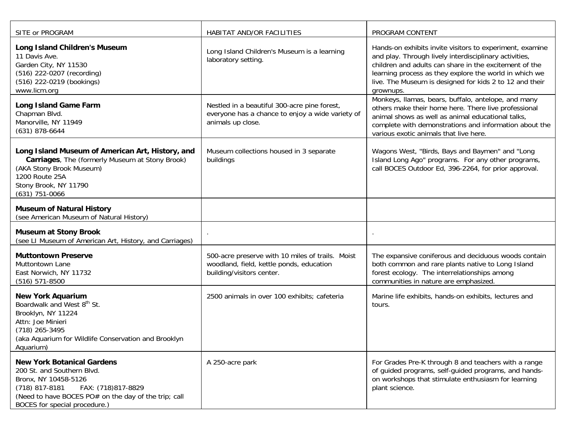| SITE or PROGRAM                                                                                                                                                                                                            | HABITAT AND/OR FACILITIES                                                                                                 | PROGRAM CONTENT                                                                                                                                                                                                                                                                                                |
|----------------------------------------------------------------------------------------------------------------------------------------------------------------------------------------------------------------------------|---------------------------------------------------------------------------------------------------------------------------|----------------------------------------------------------------------------------------------------------------------------------------------------------------------------------------------------------------------------------------------------------------------------------------------------------------|
| Long Island Children's Museum<br>11 Davis Ave.<br>Garden City, NY 11530<br>(516) 222-0207 (recording)<br>(516) 222-0219 (bookings)<br>www.licm.org                                                                         | Long Island Children's Museum is a learning<br>laboratory setting.                                                        | Hands-on exhibits invite visitors to experiment, examine<br>and play. Through lively interdisciplinary activities,<br>children and adults can share in the excitement of the<br>learning process as they explore the world in which we<br>live. The Museum is designed for kids 2 to 12 and their<br>grownups. |
| <b>Long Island Game Farm</b><br>Chapman Blvd.<br>Manorville, NY 11949<br>$(631)$ 878-6644                                                                                                                                  | Nestled in a beautiful 300-acre pine forest,<br>everyone has a chance to enjoy a wide variety of<br>animals up close.     | Monkeys, Ilamas, bears, buffalo, antelope, and many<br>others make their home here. There live professional<br>animal shows as well as animal educational talks,<br>complete with demonstrations and information about the<br>various exotic animals that live here.                                           |
| Long Island Museum of American Art, History, and<br>Carriages, The (formerly Museum at Stony Brook)<br>(AKA Stony Brook Museum)<br>1200 Route 25A<br>Stony Brook, NY 11790<br>$(631)$ 751-0066                             | Museum collections housed in 3 separate<br>buildings                                                                      | Wagons West, "Birds, Bays and Baymen" and "Long<br>Island Long Ago" programs. For any other programs,<br>call BOCES Outdoor Ed, 396-2264, for prior approval.                                                                                                                                                  |
| <b>Museum of Natural History</b><br>(see American Museum of Natural History)                                                                                                                                               |                                                                                                                           |                                                                                                                                                                                                                                                                                                                |
| <b>Museum at Stony Brook</b><br>(see LI Museum of American Art, History, and Carriages)                                                                                                                                    |                                                                                                                           |                                                                                                                                                                                                                                                                                                                |
| <b>Muttontown Preserve</b><br>Muttontown Lane<br>East Norwich, NY 11732<br>$(516) 571 - 8500$                                                                                                                              | 500-acre preserve with 10 miles of trails. Moist<br>woodland, field, kettle ponds, education<br>building/visitors center. | The expansive coniferous and deciduous woods contain<br>both common and rare plants native to Long Island<br>forest ecology. The interrelationships among<br>communities in nature are emphasized.                                                                                                             |
| <b>New York Aquarium</b><br>Boardwalk and West 8 <sup>th</sup> St.<br>Brooklyn, NY 11224<br>Attn: Joe Minieri<br>(718) 265-3495<br>(aka Aquarium for Wildlife Conservation and Brooklyn<br>Aquarium)                       | 2500 animals in over 100 exhibits; cafeteria                                                                              | Marine life exhibits, hands-on exhibits, lectures and<br>tours.                                                                                                                                                                                                                                                |
| <b>New York Botanical Gardens</b><br>200 St. and Southern Blvd.<br>Bronx, NY 10458-5126<br>$(718)$ 817-8181<br>FAX: (718)817-8829<br>(Need to have BOCES PO# on the day of the trip; call<br>BOCES for special procedure.) | A 250-acre park                                                                                                           | For Grades Pre-K through 8 and teachers with a range<br>of guided programs, self-guided programs, and hands-<br>on workshops that stimulate enthusiasm for learning<br>plant science.                                                                                                                          |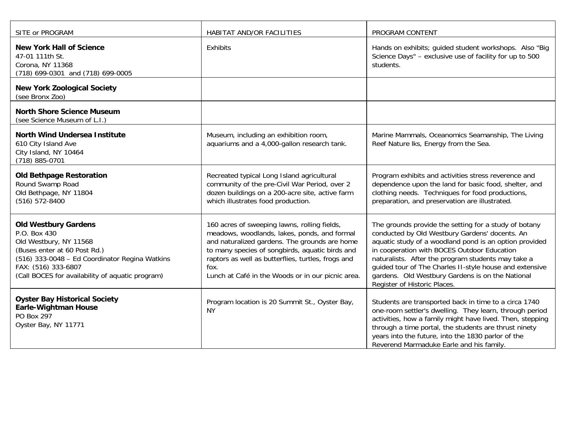| SITE or PROGRAM                                                                                                                                                                                                                    | HABITAT AND/OR FACILITIES                                                                                                                                                                                                                                                                                           | PROGRAM CONTENT                                                                                                                                                                                                                                                                                                                                                                                                       |
|------------------------------------------------------------------------------------------------------------------------------------------------------------------------------------------------------------------------------------|---------------------------------------------------------------------------------------------------------------------------------------------------------------------------------------------------------------------------------------------------------------------------------------------------------------------|-----------------------------------------------------------------------------------------------------------------------------------------------------------------------------------------------------------------------------------------------------------------------------------------------------------------------------------------------------------------------------------------------------------------------|
| <b>New York Hall of Science</b><br>47-01 111th St.<br>Corona, NY 11368<br>(718) 699-0301 and (718) 699-0005                                                                                                                        | Exhibits                                                                                                                                                                                                                                                                                                            | Hands on exhibits; guided student workshops. Also "Big<br>Science Days" - exclusive use of facility for up to 500<br>students.                                                                                                                                                                                                                                                                                        |
| <b>New York Zoological Society</b><br>(see Bronx Zoo)                                                                                                                                                                              |                                                                                                                                                                                                                                                                                                                     |                                                                                                                                                                                                                                                                                                                                                                                                                       |
| <b>North Shore Science Museum</b><br>(see Science Museum of L.I.)                                                                                                                                                                  |                                                                                                                                                                                                                                                                                                                     |                                                                                                                                                                                                                                                                                                                                                                                                                       |
| <b>North Wind Undersea Institute</b><br>610 City Island Ave<br>City Island, NY 10464<br>(718) 885-0701                                                                                                                             | Museum, including an exhibition room,<br>aquariums and a 4,000-gallon research tank.                                                                                                                                                                                                                                | Marine Mammals, Oceanomics Seamanship, The Living<br>Reef Nature Iks, Energy from the Sea.                                                                                                                                                                                                                                                                                                                            |
| <b>Old Bethpage Restoration</b><br>Round Swamp Road<br>Old Bethpage, NY 11804<br>(516) 572-8400                                                                                                                                    | Recreated typical Long Island agricultural<br>community of the pre-Civil War Period, over 2<br>dozen buildings on a 200-acre site, active farm<br>which illustrates food production.                                                                                                                                | Program exhibits and activities stress reverence and<br>dependence upon the land for basic food, shelter, and<br>clothing needs. Techniques for food productions,<br>preparation, and preservation are illustrated.                                                                                                                                                                                                   |
| <b>Old Westbury Gardens</b><br>P.O. Box 430<br>Old Westbury, NY 11568<br>(Buses enter at 60 Post Rd.)<br>(516) 333-0048 - Ed Coordinator Regina Watkins<br>FAX: (516) 333-6807<br>(Call BOCES for availability of aquatic program) | 160 acres of sweeping lawns, rolling fields,<br>meadows, woodlands, lakes, ponds, and formal<br>and naturalized gardens. The grounds are home<br>to many species of songbirds, aquatic birds and<br>raptors as well as butterflies, turtles, frogs and<br>fox.<br>Lunch at Café in the Woods or in our picnic area. | The grounds provide the setting for a study of botany<br>conducted by Old Westbury Gardens' docents. An<br>aquatic study of a woodland pond is an option provided<br>in cooperation with BOCES Outdoor Education<br>naturalists. After the program students may take a<br>guided tour of The Charles II-style house and extensive<br>gardens. Old Westbury Gardens is on the National<br>Register of Historic Places. |
| <b>Oyster Bay Historical Society</b><br><b>Earle-Wightman House</b><br>PO Box 297<br>Oyster Bay, NY 11771                                                                                                                          | Program location is 20 Summit St., Oyster Bay,<br><b>NY</b>                                                                                                                                                                                                                                                         | Students are transported back in time to a circa 1740<br>one-room settler's dwelling. They learn, through period<br>activities, how a family might have lived. Then, stepping<br>through a time portal, the students are thrust ninety<br>years into the future, into the 1830 parlor of the<br>Reverend Marmaduke Earle and his family.                                                                              |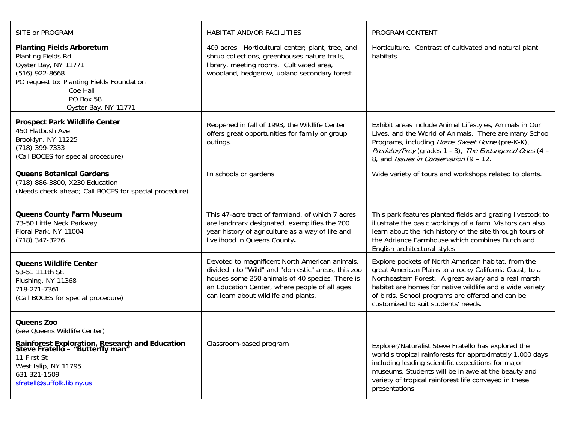| SITE or PROGRAM                                                                                                                                                                                   | HABITAT AND/OR FACILITIES                                                                                                                                                                                                                        | PROGRAM CONTENT                                                                                                                                                                                                                                                                                                               |
|---------------------------------------------------------------------------------------------------------------------------------------------------------------------------------------------------|--------------------------------------------------------------------------------------------------------------------------------------------------------------------------------------------------------------------------------------------------|-------------------------------------------------------------------------------------------------------------------------------------------------------------------------------------------------------------------------------------------------------------------------------------------------------------------------------|
| <b>Planting Fields Arboretum</b><br>Planting Fields Rd.<br>Oyster Bay, NY 11771<br>$(516)$ 922-8668<br>PO request to: Planting Fields Foundation<br>Coe Hall<br>PO Box 58<br>Oyster Bay, NY 11771 | 409 acres. Horticultural center; plant, tree, and<br>shrub collections, greenhouses nature trails,<br>library, meeting rooms. Cultivated area,<br>woodland, hedgerow, upland secondary forest.                                                   | Horticulture. Contrast of cultivated and natural plant<br>habitats.                                                                                                                                                                                                                                                           |
| <b>Prospect Park Wildlife Center</b><br>450 Flatbush Ave<br>Brooklyn, NY 11225<br>$(718)$ 399-7333<br>(Call BOCES for special procedure)                                                          | Reopened in fall of 1993, the Wildlife Center<br>offers great opportunities for family or group<br>outings.                                                                                                                                      | Exhibit areas include Animal Lifestyles, Animals in Our<br>Lives, and the World of Animals. There are many School<br>Programs, including Home Sweet Home (pre-K-K),<br>Predator/Prey (grades 1 - 3), The Endangered Ones (4 -<br>8, and <i>Issues in Conservation</i> (9 - 12.                                                |
| <b>Queens Botanical Gardens</b><br>(718) 886-3800, X230 Education<br>(Needs check ahead; Call BOCES for special procedure)                                                                        | In schools or gardens                                                                                                                                                                                                                            | Wide variety of tours and workshops related to plants.                                                                                                                                                                                                                                                                        |
| <b>Queens County Farm Museum</b><br>73-50 Little Neck Parkway<br>Floral Park, NY 11004<br>$(718)$ 347-3276                                                                                        | This 47-acre tract of farmland, of which 7 acres<br>are landmark designated, exemplifies the 200<br>year history of agriculture as a way of life and<br>livelihood in Queens County.                                                             | This park features planted fields and grazing livestock to<br>illustrate the basic workings of a farm. Visitors can also<br>learn about the rich history of the site through tours of<br>the Adriance Farmhouse which combines Dutch and<br>English architectural styles.                                                     |
| <b>Queens Wildlife Center</b><br>53-51 111th St.<br>Flushing, NY 11368<br>718-271-7361<br>(Call BOCES for special procedure)                                                                      | Devoted to magnificent North American animals,<br>divided into "Wild" and "domestic" areas, this zoo<br>houses some 250 animals of 40 species. There is<br>an Education Center, where people of all ages<br>can learn about wildlife and plants. | Explore pockets of North American habitat, from the<br>great American Plains to a rocky California Coast, to a<br>Northeastern Forest. A great aviary and a real marsh<br>habitat are homes for native wildlife and a wide variety<br>of birds. School programs are offered and can be<br>customized to suit students' needs. |
| Queens Zoo<br>(see Queens Wildlife Center)                                                                                                                                                        |                                                                                                                                                                                                                                                  |                                                                                                                                                                                                                                                                                                                               |
| <b>Rainforest Exploration, Research and Education</b><br>Steve Fratello - "Butterfly man"<br>11 First St<br>West Islip, NY 11795<br>631 321-1509<br>sfratell@suffolk.lib.ny.us                    | Classroom-based program                                                                                                                                                                                                                          | Explorer/Naturalist Steve Fratello has explored the<br>world's tropical rainforests for approximately 1,000 days<br>including leading scientific expeditions for major<br>museums. Students will be in awe at the beauty and<br>variety of tropical rainforest life conveyed in these<br>presentations.                       |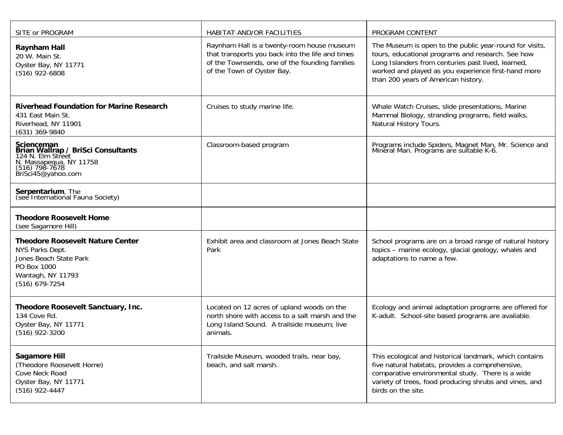| SITE or PROGRAM                                                                                                                                 | HABITAT AND/OR FACILITIES                                                                                                                                                      | PROGRAM CONTENT                                                                                                                                                                                                                                                  |
|-------------------------------------------------------------------------------------------------------------------------------------------------|--------------------------------------------------------------------------------------------------------------------------------------------------------------------------------|------------------------------------------------------------------------------------------------------------------------------------------------------------------------------------------------------------------------------------------------------------------|
| <b>Raynham Hall</b><br>20 W. Main St.<br>Oyster Bay, NY 11771<br>(516) 922-6808                                                                 | Raynham Hall is a twenty-room house museum<br>that transports you back into the life and times<br>of the Townsends, one of the founding families<br>of the Town of Oyster Bay. | The Museum is open to the public year-round for visits,<br>tours, educational programs and research. See how<br>Long Islanders from centuries past lived, learned,<br>worked and played as you experience first-hand more<br>than 200 years of American history. |
| <b>Riverhead Foundation for Marine Research</b><br>431 East Main St.<br>Riverhead, NY 11901<br>$(631)$ 369-9840                                 | Cruises to study marine life.                                                                                                                                                  | Whale Watch Cruises, slide presentations, Marine<br>Mammal Biology, stranding programs, field walks,<br>Natural History Tours.                                                                                                                                   |
| Scienceman<br><b>Brian Wallrap / BriSci Consultants</b><br>124 N. Elm Street<br>N. Massapequa, NY 11758<br>(516, 158-7678<br>BriSci45@yahoo.com | Classroom-based program                                                                                                                                                        | Programs include Spiders, Magnet Man, Mr. Science and<br>Mineral Man. Programs are suitable K-6.                                                                                                                                                                 |
| Serpentarium, The<br>(see International Fauna Society)                                                                                          |                                                                                                                                                                                |                                                                                                                                                                                                                                                                  |
| <b>Theodore Roosevelt Home</b><br>(see Sagamore Hill)                                                                                           |                                                                                                                                                                                |                                                                                                                                                                                                                                                                  |
| <b>Theodore Roosevelt Nature Center</b><br>NYS Parks Dept.<br>Jones Beach State Park<br>PO Box 1000<br>Wantagh, NY 11793<br>$(516)$ 679-7254    | Exhibit area and classroom at Jones Beach State<br>Park                                                                                                                        | School programs are on a broad range of natural history<br>topics - marine ecology, glacial geology, whales and<br>adaptations to name a few.                                                                                                                    |
| Theodore Roosevelt Sanctuary, Inc.<br>134 Cove Rd.<br>Oyster Bay, NY 11771<br>(516) 922-3200                                                    | Located on 12 acres of upland woods on the<br>north shore with access to a salt marsh and the<br>Long Island Sound. A trailside museum; live<br>animals.                       | Ecology and animal adaptation programs are offered for<br>K-adult. School-site based programs are available.                                                                                                                                                     |
| <b>Sagamore Hill</b><br>(Theodore Roosevelt Home)<br>Cove Neck Road<br>Oyster Bay, NY 11771<br>$(516)$ 922-4447                                 | Trailside Museum, wooded trails, near bay,<br>beach, and salt marsh.                                                                                                           | This ecological and historical landmark, which contains<br>five natural habitats, provides a comprehensive,<br>comparative environmental study. There is a wide<br>variety of trees, food producing shrubs and vines, and<br>birds on the site.                  |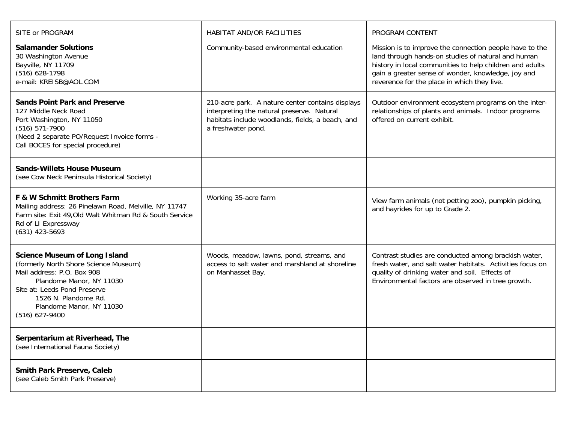| SITE or PROGRAM                                                                                                                                                                                                                                 | HABITAT AND/OR FACILITIES                                                                                                                                                | PROGRAM CONTENT                                                                                                                                                                                                                                                                |
|-------------------------------------------------------------------------------------------------------------------------------------------------------------------------------------------------------------------------------------------------|--------------------------------------------------------------------------------------------------------------------------------------------------------------------------|--------------------------------------------------------------------------------------------------------------------------------------------------------------------------------------------------------------------------------------------------------------------------------|
| <b>Salamander Solutions</b><br>30 Washington Avenue<br>Bayville, NY 11709<br>(516) 628-1798<br>e-mail: KREISB@AOL.COM                                                                                                                           | Community-based environmental education                                                                                                                                  | Mission is to improve the connection people have to the<br>land through hands-on studies of natural and human<br>history in local communities to help children and adults<br>gain a greater sense of wonder, knowledge, joy and<br>reverence for the place in which they live. |
| <b>Sands Point Park and Preserve</b><br>127 Middle Neck Road<br>Port Washington, NY 11050<br>$(516) 571-7900$<br>(Need 2 separate PO/Request Invoice forms -<br>Call BOCES for special procedure)                                               | 210-acre park. A nature center contains displays<br>interpreting the natural preserve. Natural<br>habitats include woodlands, fields, a beach, and<br>a freshwater pond. | Outdoor environment ecosystem programs on the inter-<br>relationships of plants and animals. Indoor programs<br>offered on current exhibit.                                                                                                                                    |
| <b>Sands-Willets House Museum</b><br>(see Cow Neck Peninsula Historical Society)                                                                                                                                                                |                                                                                                                                                                          |                                                                                                                                                                                                                                                                                |
| F & W Schmitt Brothers Farm<br>Mailing address: 26 Pinelawn Road, Melville, NY 11747<br>Farm site: Exit 49, Old Walt Whitman Rd & South Service<br>Rd of LI Expressway<br>$(631)$ 423-5693                                                      | Working 35-acre farm                                                                                                                                                     | View farm animals (not petting zoo), pumpkin picking,<br>and hayrides for up to Grade 2.                                                                                                                                                                                       |
| <b>Science Museum of Long Island</b><br>(formerly North Shore Science Museum)<br>Mail address: P.O. Box 908<br>Plandome Manor, NY 11030<br>Site at: Leeds Pond Preserve<br>1526 N. Plandome Rd.<br>Plandome Manor, NY 11030<br>$(516)$ 627-9400 | Woods, meadow, lawns, pond, streams, and<br>access to salt water and marshland at shoreline<br>on Manhasset Bay.                                                         | Contrast studies are conducted among brackish water,<br>fresh water, and salt water habitats. Activities focus on<br>quality of drinking water and soil. Effects of<br>Environmental factors are observed in tree growth.                                                      |
| Serpentarium at Riverhead, The<br>(see International Fauna Society)                                                                                                                                                                             |                                                                                                                                                                          |                                                                                                                                                                                                                                                                                |
| Smith Park Preserve, Caleb<br>(see Caleb Smith Park Preserve)                                                                                                                                                                                   |                                                                                                                                                                          |                                                                                                                                                                                                                                                                                |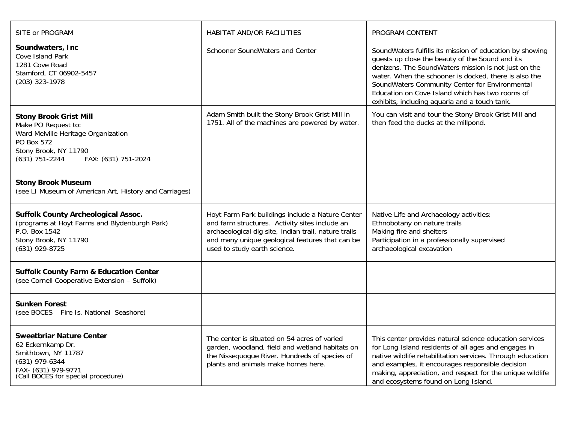| SITE or PROGRAM                                                                                                                                                             | HABITAT AND/OR FACILITIES                                                                                                                                                                                                                     | PROGRAM CONTENT                                                                                                                                                                                                                                                                                                                                                                    |
|-----------------------------------------------------------------------------------------------------------------------------------------------------------------------------|-----------------------------------------------------------------------------------------------------------------------------------------------------------------------------------------------------------------------------------------------|------------------------------------------------------------------------------------------------------------------------------------------------------------------------------------------------------------------------------------------------------------------------------------------------------------------------------------------------------------------------------------|
| Soundwaters, Inc.<br>Cove Island Park<br>1281 Cove Road<br>Stamford, CT 06902-5457<br>$(203)$ 323-1978                                                                      | Schooner SoundWaters and Center                                                                                                                                                                                                               | SoundWaters fulfills its mission of education by showing<br>guests up close the beauty of the Sound and its<br>denizens. The SoundWaters mission is not just on the<br>water. When the schooner is docked, there is also the<br>SoundWaters Community Center for Environmental<br>Education on Cove Island which has two rooms of<br>exhibits, including aquaria and a touch tank. |
| <b>Stony Brook Grist Mill</b><br>Make PO Request to:<br>Ward Melville Heritage Organization<br>PO Box 572<br>Stony Brook, NY 11790<br>(631) 751-2244<br>FAX: (631) 751-2024 | Adam Smith built the Stony Brook Grist Mill in<br>1751. All of the machines are powered by water.                                                                                                                                             | You can visit and tour the Stony Brook Grist Mill and<br>then feed the ducks at the millpond.                                                                                                                                                                                                                                                                                      |
| <b>Stony Brook Museum</b><br>(see LI Museum of American Art, History and Carriages)                                                                                         |                                                                                                                                                                                                                                               |                                                                                                                                                                                                                                                                                                                                                                                    |
| <b>Suffolk County Archeological Assoc.</b><br>(programs at Hoyt Farms and Blydenburgh Park)<br>P.O. Box 1542<br>Stony Brook, NY 11790<br>(631) 929-8725                     | Hoyt Farm Park buildings include a Nature Center<br>and farm structures. Activity sites include an<br>archaeological dig site, Indian trail, nature trails<br>and many unique geological features that can be<br>used to study earth science. | Native Life and Archaeology activities:<br>Ethnobotany on nature trails<br>Making fire and shelters<br>Participation in a professionally supervised<br>archaeological excavation                                                                                                                                                                                                   |
| <b>Suffolk County Farm &amp; Education Center</b><br>(see Cornell Cooperative Extension - Suffolk)                                                                          |                                                                                                                                                                                                                                               |                                                                                                                                                                                                                                                                                                                                                                                    |
| <b>Sunken Forest</b><br>(see BOCES - Fire Is. National Seashore)                                                                                                            |                                                                                                                                                                                                                                               |                                                                                                                                                                                                                                                                                                                                                                                    |
| <b>Sweetbriar Nature Center</b><br>62 Eckernkamp Dr.<br>Smithtown, NY 11787<br>(631) 979-6344<br>FAX- (631) 979-9771<br>(Call BOCES for special procedure)                  | The center is situated on 54 acres of varied<br>garden, woodland, field and wetland habitats on<br>the Nissequogue River. Hundreds of species of<br>plants and animals make homes here.                                                       | This center provides natural science education services<br>for Long Island residents of all ages and engages in<br>native wildlife rehabilitation services. Through education<br>and examples, it encourages responsible decision<br>making, appreciation, and respect for the unique wildlife<br>and ecosystems found on Long Island.                                             |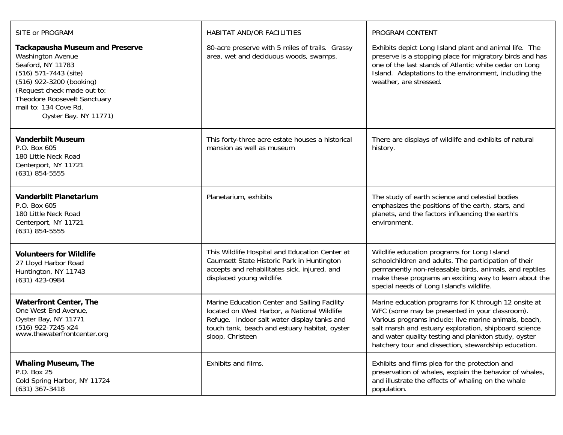| SITE or PROGRAM                                                                                                                                                                                                                                               | HABITAT AND/OR FACILITIES                                                                                                                                                                                       | PROGRAM CONTENT                                                                                                                                                                                                                                                                                                                          |
|---------------------------------------------------------------------------------------------------------------------------------------------------------------------------------------------------------------------------------------------------------------|-----------------------------------------------------------------------------------------------------------------------------------------------------------------------------------------------------------------|------------------------------------------------------------------------------------------------------------------------------------------------------------------------------------------------------------------------------------------------------------------------------------------------------------------------------------------|
| <b>Tackapausha Museum and Preserve</b><br><b>Washington Avenue</b><br>Seaford, NY 11783<br>(516) 571-7443 (site)<br>(516) 922-3200 (booking)<br>(Request check made out to:<br>Theodore Roosevelt Sanctuary<br>mail to: 134 Cove Rd.<br>Oyster Bay. NY 11771) | 80-acre preserve with 5 miles of trails. Grassy<br>area, wet and deciduous woods, swamps.                                                                                                                       | Exhibits depict Long Island plant and animal life. The<br>preserve is a stopping place for migratory birds and has<br>one of the last stands of Atlantic white cedar on Long<br>Island. Adaptations to the environment, including the<br>weather, are stressed.                                                                          |
| <b>Vanderbilt Museum</b><br>P.O. Box 605<br>180 Little Neck Road<br>Centerport, NY 11721<br>$(631)$ 854-5555                                                                                                                                                  | This forty-three acre estate houses a historical<br>mansion as well as museum                                                                                                                                   | There are displays of wildlife and exhibits of natural<br>history.                                                                                                                                                                                                                                                                       |
| <b>Vanderbilt Planetarium</b><br>P.O. Box 605<br>180 Little Neck Road<br>Centerport, NY 11721<br>$(631)$ 854-5555                                                                                                                                             | Planetarium, exhibits                                                                                                                                                                                           | The study of earth science and celestial bodies<br>emphasizes the positions of the earth, stars, and<br>planets, and the factors influencing the earth's<br>environment.                                                                                                                                                                 |
| <b>Volunteers for Wildlife</b><br>27 Lloyd Harbor Road<br>Huntington, NY 11743<br>$(631)$ 423-0984                                                                                                                                                            | This Wildlife Hospital and Education Center at<br>Caumsett State Historic Park in Huntington<br>accepts and rehabilitates sick, injured, and<br>displaced young wildlife.                                       | Wildlife education programs for Long Island<br>schoolchildren and adults. The participation of their<br>permanently non-releasable birds, animals, and reptiles<br>make these programs an exciting way to learn about the<br>special needs of Long Island's wildlife.                                                                    |
| <b>Waterfront Center, The</b><br>One West End Avenue,<br>Oyster Bay, NY 11771<br>(516) 922-7245 x24<br>www.thewaterfrontcenter.org                                                                                                                            | Marine Education Center and Sailing Facility<br>located on West Harbor, a National Wildlife<br>Refuge. Indoor salt water display tanks and<br>touch tank, beach and estuary habitat, oyster<br>sloop, Christeen | Marine education programs for K through 12 onsite at<br>WFC (some may be presented in your classroom).<br>Various programs include: live marine animals, beach,<br>salt marsh and estuary exploration, shipboard science<br>and water quality testing and plankton study, oyster<br>hatchery tour and dissection, stewardship education. |
| <b>Whaling Museum, The</b><br>P.O. Box 25<br>Cold Spring Harbor, NY 11724<br>$(631)$ 367-3418                                                                                                                                                                 | Exhibits and films.                                                                                                                                                                                             | Exhibits and films plea for the protection and<br>preservation of whales, explain the behavior of whales,<br>and illustrate the effects of whaling on the whale<br>population.                                                                                                                                                           |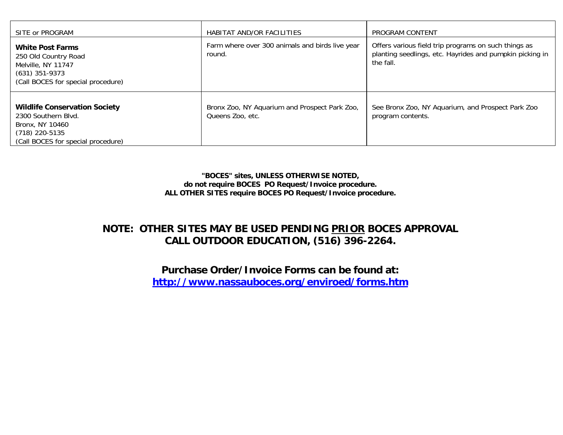| SITE or PROGRAM                                                                                                                        | HABITAT AND/OR FACILITIES                                         | PROGRAM CONTENT                                                                                                               |
|----------------------------------------------------------------------------------------------------------------------------------------|-------------------------------------------------------------------|-------------------------------------------------------------------------------------------------------------------------------|
| <b>White Post Farms</b><br>250 Old Country Road<br>Melville, NY 11747<br>$(631)$ 351-9373<br>(Call BOCES for special procedure)        | Farm where over 300 animals and birds live year<br>round.         | Offers various field trip programs on such things as<br>planting seedlings, etc. Hayrides and pumpkin picking in<br>the fall. |
| <b>Wildlife Conservation Society</b><br>2300 Southern Blvd.<br>Bronx, NY 10460<br>(718) 220-5135<br>(Call BOCES for special procedure) | Bronx Zoo, NY Aquarium and Prospect Park Zoo,<br>Queens Zoo, etc. | See Bronx Zoo, NY Aquarium, and Prospect Park Zoo<br>program contents.                                                        |

**"BOCES" sites, UNLESS OTHERWISE NOTED, do not require BOCES PO Request/Invoice procedure. ALL OTHER SITES require BOCES PO Request/Invoice procedure.** 

## **NOTE: OTHER SITES MAY BE USED PENDING PRIOR BOCES APPROVAL CALL OUTDOOR EDUCATION, (516) 396-2264.**

**Purchase Order/Invoice Forms can be found at: <http://www.nassauboces.org/enviroed/forms.htm>**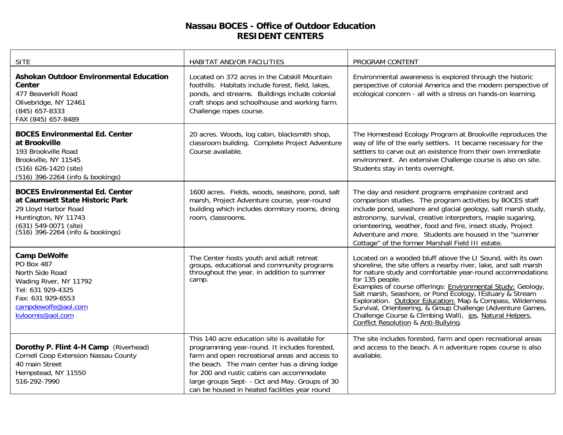### **Nassau BOCES - Office of Outdoor Education RESIDENT CENTERS**

| <b>SITE</b>                                                                                                                                                                           | HABITAT AND/OR FACILITIES                                                                                                                                                                                                                                                                                                                         | PROGRAM CONTENT                                                                                                                                                                                                                                                                                                                                                                                                                                                                                                                                                                   |
|---------------------------------------------------------------------------------------------------------------------------------------------------------------------------------------|---------------------------------------------------------------------------------------------------------------------------------------------------------------------------------------------------------------------------------------------------------------------------------------------------------------------------------------------------|-----------------------------------------------------------------------------------------------------------------------------------------------------------------------------------------------------------------------------------------------------------------------------------------------------------------------------------------------------------------------------------------------------------------------------------------------------------------------------------------------------------------------------------------------------------------------------------|
| Ashokan Outdoor Environmental Education<br><b>Center</b><br>477 Beaverkill Road<br>Olivebridge, NY 12461<br>$(845)$ 657-8333<br>FAX (845) 657-8489                                    | Located on 372 acres in the Catskill Mountain<br>foothills. Habitats include forest, field, lakes,<br>ponds, and streams. Buildings include colonial<br>craft shops and schoolhouse and working farm.<br>Challenge ropes course.                                                                                                                  | Environmental awareness is explored through the historic<br>perspective of colonial America and the modern perspective of<br>ecological concern - all with a stress on hands-on learning.                                                                                                                                                                                                                                                                                                                                                                                         |
| <b>BOCES Environmental Ed. Center</b><br>at Brookville<br>193 Brookville Road<br>Brookville, NY 11545<br>(516) 626-1420 (site)<br>(516) 396-2264 (info & bookings)                    | 20 acres. Woods, log cabin, blacksmith shop,<br>classroom building. Complete Project Adventure<br>Course available.                                                                                                                                                                                                                               | The Homestead Ecology Program at Brookville reproduces the<br>way of life of the early settlers. It became necessary for the<br>settlers to carve out an existence from their own immediate<br>environment. An extensive Challenge course is also on site.<br>Students stay in tents overnight.                                                                                                                                                                                                                                                                                   |
| <b>BOCES Environmental Ed. Center</b><br>at Caumsett State Historic Park<br>29 Lloyd Harbor Road<br>Huntington, NY 11743<br>(631) 549-0071 (site)<br>(516) 396-2264 (info & bookings) | 1600 acres. Fields, woods, seashore, pond, salt<br>marsh, Project Adventure course, year-round<br>building which includes dormitory rooms, dining<br>room, classrooms.                                                                                                                                                                            | The day and resident programs emphasize contrast and<br>comparison studies. The program activities by BOCES staff<br>include pond, seashore and glacial geology, salt marsh study,<br>astronomy, survival, creative interpreters, maple sugaring,<br>orienteering, weather, food and fire, insect study, Project<br>Adventure and more. Students are housed in the "summer<br>Cottage" of the former Marshall Field III estate.                                                                                                                                                   |
| <b>Camp DeWolfe</b><br>PO Box 487<br>North Side Road<br>Wading River, NY 11792<br>Tel: 631 929-4325<br>Fax: 631 929-6553<br>campdewolfe@aol.com<br>kvloomis@aol.com                   | The Center hosts youth and adult retreat<br>groups, educational and community programs<br>throughout the year, in addition to summer<br>camp.                                                                                                                                                                                                     | Located on a wooded bluff above the LI Sound, with its own<br>shoreline, the site offers a nearby river, lake, and salt marsh<br>for nature study and comfortable year-round accommodations<br>for 135 people.<br>Examples of course offerings: <b>Environmental Study: Geology, Salt marsh, Seashore, or Pond Ecology, IEstuary &amp; Stream</b><br>Exploration. Outdoor Education: Map & Compass, Wilderness<br>Survival, Orienteering, & Group Challenge (Adventure Games,<br>Challenge Course & Climbing Wall), ips, Natural Helpers,<br>Conflict Resolution & Anti-Bullying. |
| Dorothy P. Flint 4-H Camp (Riverhead)<br>Cornell Coop Extension Nassau County<br>40 main Street<br>Hempstead, NY 11550<br>516-292-7990                                                | This 140 acre education site is available for<br>programming year-round. It includes forested,<br>farm and open recreational areas and access to<br>the beach. The main center has a dining lodge<br>for 200 and rustic cabins can accommodate<br>large groups Sept- - Oct and May. Groups of 30<br>can be housed in heated facilities year round | The site includes forested, farm and open recreational areas<br>and access to the beach. A n adventure ropes course is also<br>available.                                                                                                                                                                                                                                                                                                                                                                                                                                         |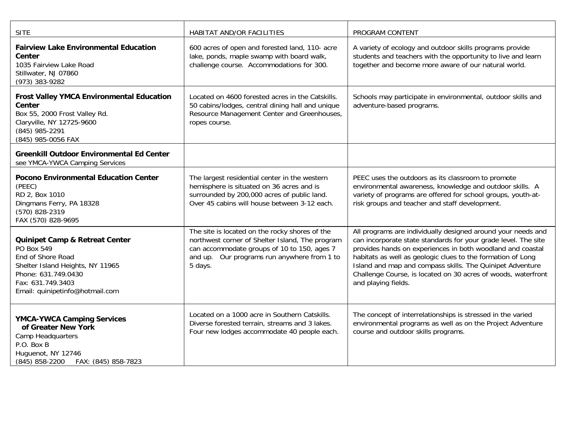| <b>SITE</b>                                                                                                                                                                                     | HABITAT AND/OR FACILITIES                                                                                                                                                                                  | PROGRAM CONTENT                                                                                                                                                                                                                                                                                                                                                                                                  |
|-------------------------------------------------------------------------------------------------------------------------------------------------------------------------------------------------|------------------------------------------------------------------------------------------------------------------------------------------------------------------------------------------------------------|------------------------------------------------------------------------------------------------------------------------------------------------------------------------------------------------------------------------------------------------------------------------------------------------------------------------------------------------------------------------------------------------------------------|
| <b>Fairview Lake Environmental Education</b><br>Center<br>1035 Fairview Lake Road<br>Stillwater, NJ 07860<br>(973) 383-9282                                                                     | 600 acres of open and forested land, 110- acre<br>lake, ponds, maple swamp with board walk,<br>challenge course. Accommodations for 300.                                                                   | A variety of ecology and outdoor skills programs provide<br>students and teachers with the opportunity to live and learn<br>together and become more aware of our natural world.                                                                                                                                                                                                                                 |
| <b>Frost Valley YMCA Environmental Education</b><br>Center<br>Box 55, 2000 Frost Valley Rd.<br>Claryville, NY 12725-9600<br>(845) 985-2291<br>(845) 985-0056 FAX                                | Located on 4600 forested acres in the Catskills.<br>50 cabins/lodges, central dining hall and unique<br>Resource Management Center and Greenhouses,<br>ropes course.                                       | Schools may participate in environmental, outdoor skills and<br>adventure-based programs.                                                                                                                                                                                                                                                                                                                        |
| <b>Greenkill Outdoor Environmental Ed Center</b><br>see YMCA-YWCA Camping Services                                                                                                              |                                                                                                                                                                                                            |                                                                                                                                                                                                                                                                                                                                                                                                                  |
| <b>Pocono Environmental Education Center</b><br>(PEEC)<br>RD 2, Box 1010<br>Dingmans Ferry, PA 18328<br>(570) 828-2319<br>FAX (570) 828-9695                                                    | The largest residential center in the western<br>hemisphere is situated on 36 acres and is<br>surrounded by 200,000 acres of public land.<br>Over 45 cabins will house between 3-12 each.                  | PEEC uses the outdoors as its classroom to promote<br>environmental awareness, knowledge and outdoor skills. A<br>variety of programs are offered for school groups, youth-at-<br>risk groups and teacher and staff development.                                                                                                                                                                                 |
| <b>Quinipet Camp &amp; Retreat Center</b><br>PO Box 549<br>End of Shore Road<br>Shelter Island Heights, NY 11965<br>Phone: 631.749.0430<br>Fax: 631.749.3403<br>Email: quinipetinfo@hotmail.com | The site is located on the rocky shores of the<br>northwest corner of Shelter Island, The program<br>can accommodate groups of 10 to 150, ages 7<br>and up. Our programs run anywhere from 1 to<br>5 days. | All programs are individually designed around your needs and<br>can incorporate state standards for your grade level. The site<br>provides hands on experiences in both woodland and coastal<br>habitats as well as geologic clues to the formation of Long<br>Island and map and compass skills. The Quinipet Adventure<br>Challenge Course, is located on 30 acres of woods, waterfront<br>and playing fields. |
| <b>YMCA-YWCA Camping Services</b><br>of Greater New York<br>Camp Headquarters<br>P.O. Box B<br>Huguenot, NY 12746<br>(845) 858-2200<br>FAX: (845) 858-7823                                      | Located on a 1000 acre in Southern Catskills.<br>Diverse forested terrain, streams and 3 lakes.<br>Four new lodges accommodate 40 people each.                                                             | The concept of interrelationships is stressed in the varied<br>environmental programs as well as on the Project Adventure<br>course and outdoor skills programs.                                                                                                                                                                                                                                                 |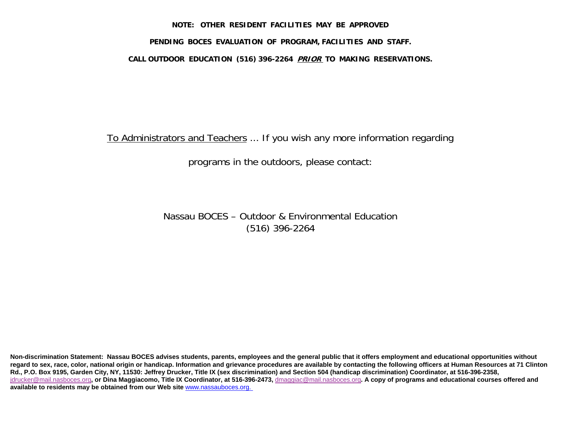#### **NOTE: OTHER RESIDENT FACILITIES MAY BE APPROVED**

#### **PENDING BOCES EVALUATION OF PROGRAM, FACILITIES AND STAFF.**

#### **CALL OUTDOOR EDUCATION (516) 396-2264 PRIOR TO MAKING RESERVATIONS.**

To Administrators and Teachers ... If you wish any more information regarding

programs in the outdoors, please contact:

Nassau BOCES – Outdoor & Environmental Education (516) 396-2264

**Non-discrimination Statement: Nassau BOCES advises students, parents, employees and the general public that it offers employment and educational opportunities without**  regard to sex, race, color, national origin or handicap. Information and grievance procedures are available by contacting the following officers at Human Resources at 71 Clinton **Rd., P.O. Box 9195, Garden City, NY, 11530: Jeffrey Drucker, Title IX (sex discrimination) and Section 504 (handicap discrimination) Coordinator, at 516-396-2358,**  [jdrucker@mail.nasboces.org](mailto:jdrucker@mail.nasboces.org)**, or Dina Maggiacomo, Title IX Coordinator, at 516-396-2473,** [dmaggiac@mail.nasboces.org](mailto:DMaggiac@mail.nasboces.org)**. A copy of programs and educational courses offered and available to residents may be obtained from our Web site** [www.nassauboces.org.](http://www.nassauboces.org/)